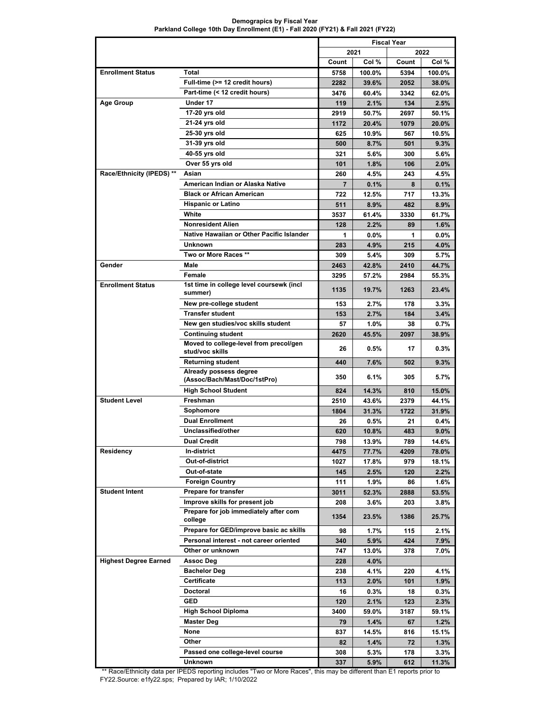**Fiscal Year 2021 2022 Count Col % Count Col % Enrollment Status Total Full-time (>= 12 credit hours) Part-time (< 12 credit hours)** Age Group Under 17  **17-20 yrs old 21-24 yrs old 25-30 yrs old 31-39 yrs old 40-55 yrs old Over 55 yrs old Race/Ethnicity (IPEDS) \*\* Asian American Indian or Alaska Native Black or African American Hispanic or Latino White Nonresident Alien Native Hawaiian or Other Pacific Islander Unknown Two or More Races \*\* Gender Male Female Enrollment Status 1st time in college level coursewk (incl summer) New pre-college student Transfer student New gen studies/voc skills student Continuing student Moved to college-level from precol/gen stud/voc skills Returning student Already possess degree (Assoc/Bach/Mast/Doc/1stPro) High School Student Student Level Freshman Sophomore Dual Enrollment Unclassified/other Dual Credit Residency In-district Out-of-district Out-of-state Foreign Country Student Intent Prepare for transfer Improve skills for present job Prepare for job immediately after com college Prepare for GED/improve basic ac skills Personal interest - not career oriented Other or unknown Highest Degree Earned Assoc Deg Bachelor Deg Certificate Doctoral GED High School Diploma Master Deg None Other Passed one college-level course 5758 100.0% 5394 100.0% 2282 39.6% 2052 38.0% 3476 60.4% 3342 62.0% 119 2.1% 134 2.5% 2919 50.7% 2697 50.1% 1172 20.4% 1079 20.0% 625 10.9% 567 10.5% 500 8.7% 501 9.3% 321 5.6% 300 5.6% 101 1.8% 106 2.0% 260 4.5% 243 4.5% 7 0.1% 8 0.1% 722 12.5% 717 13.3% 511 8.9% 482 8.9% 3537 61.4% 3330 61.7% 128 2.2% 89 1.6% 1 0.0% 1 0.0% 283 4.9% 215 4.0% 309 5.4% 309 5.7% 2463 42.8% 2410 44.7% 3295 57.2% 2984 55.3% 1135 19.7% 1263 23.4% 153 2.7% 178 3.3% 153 2.7% 184 3.4% 57 1.0% 38 0.7% 2620 45.5% 2097 38.9% 26 0.5% 17 0.3% 440 7.6% 502 9.3% 350 6.1% 305 5.7% 824 14.3% 810 15.0% 2510 43.6% 2379 44.1% 1804 31.3% 1722 31.9% 26 0.5% 21 0.4% 620 10.8% 483 9.0% 798 13.9% 789 14.6% 4475 77.7% 4209 78.0% 1027 17.8% 979 18.1% 145 2.5% 120 2.2% 111 1.9% 86 1.6% 3011 52.3% 2888 53.5% 208 3.6% 203 3.8% 1354 23.5% 1386 25.7% 98 1.7% 115 2.1% 340 5.9% 424 7.9% 747 13.0% 378 7.0% 228 4.0% 238 4.1% 220 4.1% 113 2.0% 101 1.9% 16 0.3% 18 0.3% 120 2.1% 123 2.3% 3400 59.0% 3187 59.1% 79 1.4% 67 1.2% 837 14.5% 816 15.1% 82 1.4% 72 1.3% 308 5.3% 178 3.3%**

**Demograpics by Fiscal Year Parkland College 10th Day Enrollment (E1) - Fall 2020 (FY21) & Fall 2021 (FY22)**

 \*\* Race/Ethnicity data per IPEDS reporting includes "Two or More Races", this may be different than E1 reports prior to FY22.Source: e1fy22.sps; Prepared by IAR; 1/10/2022

**337 5.9% 612 11.3%**

**Unknown**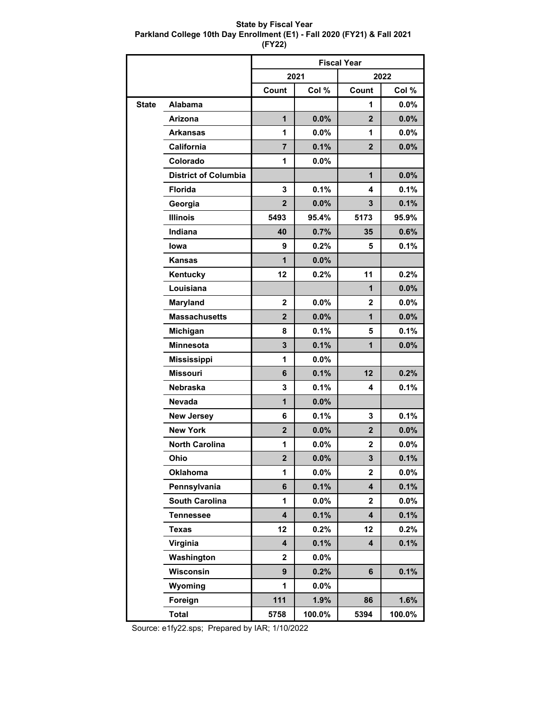# **State by Fiscal Year Parkland College 10th Day Enrollment (E1) - Fall 2020 (FY21) & Fall 2021 (FY22)**

|              |                             | <b>Fiscal Year</b>      |         |                |        |
|--------------|-----------------------------|-------------------------|---------|----------------|--------|
|              |                             | 2021<br>2022            |         |                |        |
|              |                             | Col %<br>Count<br>Count |         |                | Col %  |
| <b>State</b> | Alabama                     |                         |         | 1              | 0.0%   |
|              | Arizona                     | 1                       | 0.0%    | $\overline{2}$ | 0.0%   |
|              | <b>Arkansas</b>             | 1                       | 0.0%    | 1              | 0.0%   |
|              | California                  | $\overline{7}$          | 0.1%    | $\overline{2}$ | 0.0%   |
|              | Colorado                    | 1                       | 0.0%    |                |        |
|              | <b>District of Columbia</b> |                         |         | 1              | 0.0%   |
|              | <b>Florida</b>              | 3                       | 0.1%    | 4              | 0.1%   |
|              | Georgia                     | $\overline{2}$          | 0.0%    | 3              | 0.1%   |
|              | <b>Illinois</b>             | 5493                    | 95.4%   | 5173           | 95.9%  |
|              | Indiana                     | 40                      | 0.7%    | 35             | 0.6%   |
|              | lowa                        | 9                       | 0.2%    | 5              | 0.1%   |
|              | <b>Kansas</b>               | 1                       | 0.0%    |                |        |
|              | Kentucky                    | 12                      | 0.2%    | 11             | 0.2%   |
|              | Louisiana                   |                         |         | 1              | 0.0%   |
|              | Maryland                    | $\mathbf{2}$            | 0.0%    | $\mathbf{2}$   | 0.0%   |
|              | <b>Massachusetts</b>        | $\overline{2}$          | 0.0%    | $\mathbf{1}$   | 0.0%   |
|              | <b>Michigan</b>             | 8                       | 0.1%    | 5              | 0.1%   |
|              | <b>Minnesota</b>            | $\mathbf{3}$            | 0.1%    | $\mathbf 1$    | 0.0%   |
|              | <b>Mississippi</b>          | 1                       | 0.0%    |                |        |
|              | <b>Missouri</b>             | 6                       | 0.1%    | 12             | 0.2%   |
|              | <b>Nebraska</b>             | 3                       | 0.1%    | 4              | 0.1%   |
|              | <b>Nevada</b>               | $\mathbf{1}$            | 0.0%    |                |        |
|              | <b>New Jersey</b>           | 6                       | 0.1%    | 3              | 0.1%   |
|              | <b>New York</b>             | $\overline{2}$          | 0.0%    | $\overline{2}$ | 0.0%   |
|              | <b>North Carolina</b>       | 1                       | 0.0%    | $\overline{2}$ | 0.0%   |
|              | Ohio                        | $\overline{\mathbf{2}}$ | $0.0\%$ | 3              | 0.1%   |
|              | <b>Oklahoma</b>             | 1                       | 0.0%    | $\mathbf{2}$   | 0.0%   |
|              | Pennsylvania                | 6                       | 0.1%    | 4              | 0.1%   |
|              | South Carolina              | 1                       | 0.0%    | $\mathbf{2}$   | 0.0%   |
|              | <b>Tennessee</b>            | 4                       | 0.1%    | 4              | 0.1%   |
|              | <b>Texas</b>                | 12                      | 0.2%    | 12             | 0.2%   |
|              | Virginia                    | $\overline{\mathbf{4}}$ | 0.1%    | 4              | 0.1%   |
|              | Washington                  | $\mathbf{2}$            | 0.0%    |                |        |
|              | Wisconsin                   | $\mathbf{9}$            | 0.2%    | 6              | 0.1%   |
|              | Wyoming                     | 1                       | 0.0%    |                |        |
|              | Foreign                     | 111                     | 1.9%    | 86             | 1.6%   |
|              | <b>Total</b>                | 5758                    | 100.0%  | 5394           | 100.0% |

Source: e1fy22.sps; Prepared by IAR; 1/10/2022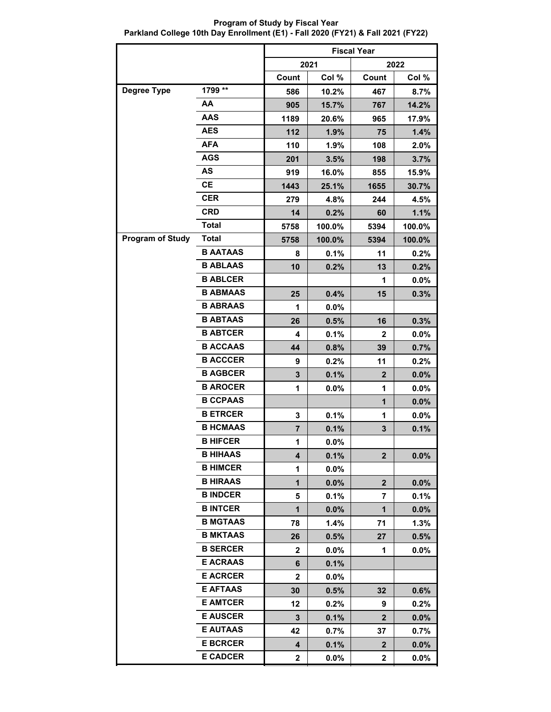**Fiscal Year 2021 2022 Count Col % Count Col % Degree Type 1799 \*\* AA AAS AES AFA AGS AS CE CER CRD Total Program of Study Total B AATAAS B ABLAAS B ABLCER B ABMAAS B ABRAAS B ABTAAS B ABTCER B ACCAAS B ACCCER B AGBCER B AROCER B CCPAAS B ETRCER B HCMAAS B HIFCER B HIHAAS B HIMCER B HIRAAS B INDCER B INTCER B MGTAAS B MKTAAS B SERCER E ACRAAS E ACRCER E AFTAAS E AMTCER E AUSCER E AUTAAS E BCRCER E CADCER 586 10.2% 467 8.7% 905 15.7% 767 14.2% 1189 20.6% 965 17.9% 112 1.9% 75 1.4% 110 1.9% 108 2.0% 201 3.5% 198 3.7% 919 16.0% 855 15.9% 1443 25.1% 1655 30.7% 279 4.8% 244 4.5% 14 0.2% 60 1.1% 5758 100.0% 5394 100.0% 5758 100.0% 5394 100.0% 8 0.1% 11 0.2% 10 0.2% 13 0.2% 1 0.0% 25 0.4% 15 0.3% 1 0.0% 26 0.5% 16 0.3% 4 0.1% 2 0.0% 44 0.8% 39 0.7% 9 0.2% 11 0.2% 3 0.1% 2 0.0% 1 0.0% 1 0.0% 1 0.0% 3 0.1% 1 0.0% 7 0.1% 3 0.1% 1 0.0% 4 0.1% 2 0.0% 1 0.0%**  $1 | 0.0\% | 2 | 0.0\%$ **5 0.1% 7 0.1% 1 0.0% 1 0.0% 78 1.4% 71 1.3% 26 0.5% 27 0.5% 2 0.0% 1 0.0% 6 0.1% 2 0.0% 30 0.5% 32 0.6% 12 0.2% 9 0.2% 3 0.1% 2 0.0% 42 0.7% 37 0.7% 4 0.1% 2 0.0% 2 0.0% 2 0.0%**

## **Program of Study by Fiscal Year Parkland College 10th Day Enrollment (E1) - Fall 2020 (FY21) & Fall 2021 (FY22)**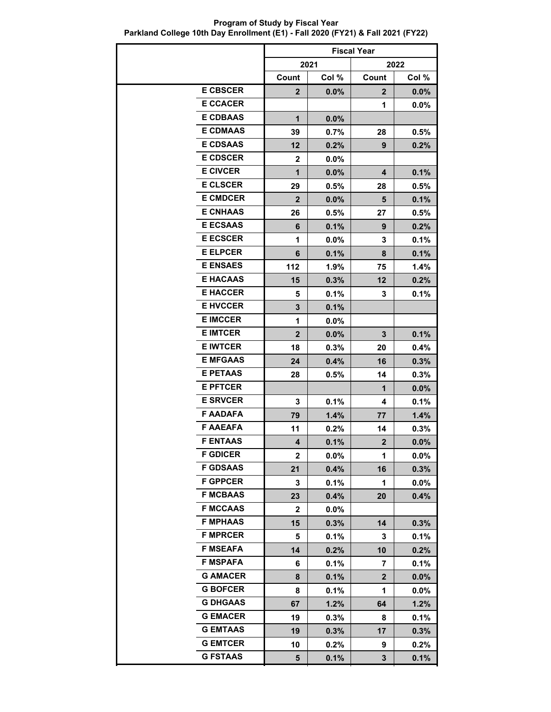| <b>Program of Study by Fiscal Year</b>                                          |  |  |  |  |  |  |  |
|---------------------------------------------------------------------------------|--|--|--|--|--|--|--|
| Parkland College 10th Day Enrollment (E1) - Fall 2020 (FY21) & Fall 2021 (FY22) |  |  |  |  |  |  |  |

|                 | <b>Fiscal Year</b> |                |                |         |
|-----------------|--------------------|----------------|----------------|---------|
|                 | 2021<br>2022       |                |                |         |
|                 | Count              | Col %<br>Count |                | Col %   |
| <b>E CBSCER</b> | $\mathbf{2}$       | $0.0\%$        | $\mathbf{2}$   | 0.0%    |
| <b>E CCACER</b> |                    |                | 1              | $0.0\%$ |
| <b>E CDBAAS</b> | $\mathbf 1$        | 0.0%           |                |         |
| <b>E CDMAAS</b> | 39                 | 0.7%           | 28             | 0.5%    |
| <b>E CDSAAS</b> | 12                 | 0.2%           | 9              | 0.2%    |
| <b>E CDSCER</b> | 2                  | $0.0\%$        |                |         |
| <b>E CIVCER</b> | 1                  | $0.0\%$        | 4              | 0.1%    |
| <b>E CLSCER</b> | 29                 | 0.5%           | 28             | 0.5%    |
| <b>E CMDCER</b> | $\mathbf{2}$       | $0.0\%$        | 5              | 0.1%    |
| <b>E CNHAAS</b> | 26                 | $0.5\%$        | 27             | 0.5%    |
| <b>E ECSAAS</b> | 6                  | 0.1%           | 9              | 0.2%    |
| <b>E ECSCER</b> | 1                  | $0.0\%$        | 3              | 0.1%    |
| <b>E ELPCER</b> | 6                  | 0.1%           | 8              | 0.1%    |
| <b>E ENSAES</b> | 112                | $1.9\%$        | 75             | 1.4%    |
| <b>E HACAAS</b> | 15                 | 0.3%           | 12             | 0.2%    |
| <b>E HACCER</b> | 5                  | 0.1%           | 3              | 0.1%    |
| <b>E HVCCER</b> | 3                  | 0.1%           |                |         |
| <b>E IMCCER</b> | 1                  | $0.0\%$        |                |         |
| <b>E IMTCER</b> | $\mathbf{2}$       | $0.0\%$        | 3              | 0.1%    |
| <b>E IWTCER</b> | 18                 | $0.3\%$        | 20             | 0.4%    |
| <b>E MFGAAS</b> | 24                 | 0.4%           | 16             | 0.3%    |
| <b>E PETAAS</b> | 28                 | $0.5\%$        | 14             | 0.3%    |
| <b>E PFTCER</b> |                    |                | 1              | 0.0%    |
| <b>E SRVCER</b> | 3                  | 0.1%           | 4              | 0.1%    |
| <b>F AADAFA</b> | 79                 | 1.4%           | 77             | 1.4%    |
| <b>F AAEAFA</b> | 11                 | $0.2\%$        | 14             | 0.3%    |
| <b>F ENTAAS</b> | 4                  | 0.1%           | $\overline{2}$ | 0.0%    |
| <b>F GDICER</b> | 2                  | $0.0\%$        | 1              | 0.0%    |
| <b>F GDSAAS</b> | 21                 | 0.4%           | 16             | 0.3%    |
| <b>F GPPCER</b> | 3                  | 0.1%           | 1              | $0.0\%$ |
| <b>F MCBAAS</b> | 23                 | 0.4%           | 20             | 0.4%    |
| <b>F MCCAAS</b> | $\mathbf{2}$       | $0.0\%$        |                |         |
| <b>F MPHAAS</b> | 15                 | 0.3%           | 14             | 0.3%    |
| <b>F MPRCER</b> | 5                  | 0.1%           | 3              | 0.1%    |
| <b>F MSEAFA</b> | 14                 | 0.2%           | 10             | 0.2%    |
| <b>F MSPAFA</b> | 6                  | $0.1\%$        | 7              | 0.1%    |
| <b>G AMACER</b> | 8                  | 0.1%           | $\mathbf{2}$   | 0.0%    |
| <b>G BOFCER</b> | 8                  | 0.1%           | 1              | $0.0\%$ |
| <b>G DHGAAS</b> | 67                 | 1.2%           | 64             | 1.2%    |
| <b>G EMACER</b> | 19                 | $0.3\%$        | 8              | 0.1%    |
| <b>G EMTAAS</b> | 19                 | 0.3%           | 17             | 0.3%    |
| <b>G EMTCER</b> | 10                 | $0.2\%$        | 9              | 0.2%    |
| <b>G FSTAAS</b> | 5                  | 0.1%           | 3              | 0.1%    |
|                 |                    |                |                |         |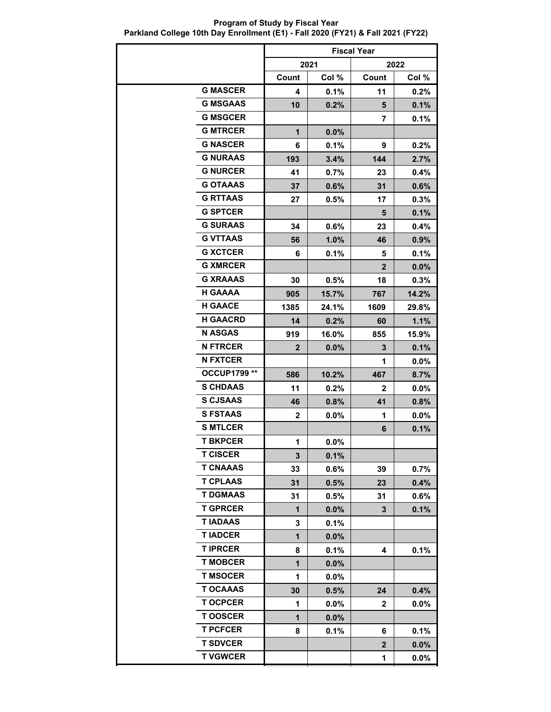| <b>Program of Study by Fiscal Year</b>                                          |
|---------------------------------------------------------------------------------|
| Parkland College 10th Day Enrollment (E1) - Fall 2020 (FY21) & Fall 2021 (FY22) |

|                 | <b>Fiscal Year</b> |                         |              |         |
|-----------------|--------------------|-------------------------|--------------|---------|
|                 | 2021<br>2022       |                         |              |         |
|                 | Count              | Col %<br>Count<br>Col % |              |         |
| <b>G MASCER</b> | 4                  | 0.1%                    | 11           | 0.2%    |
| <b>G MSGAAS</b> | 10                 | 0.2%                    | 5            | 0.1%    |
| <b>G MSGCER</b> |                    |                         | 7            | 0.1%    |
| <b>G MTRCER</b> | 1                  | $0.0\%$                 |              |         |
| <b>G NASCER</b> | 6                  | 0.1%                    | 9            | 0.2%    |
| <b>G NURAAS</b> | 193                | 3.4%                    | 144          | 2.7%    |
| <b>G NURCER</b> | 41                 | 0.7%                    | 23           | 0.4%    |
| <b>G OTAAAS</b> | 37                 | 0.6%                    | 31           | 0.6%    |
| <b>G RTTAAS</b> | 27                 | 0.5%                    | 17           | 0.3%    |
| <b>G SPTCER</b> |                    |                         | 5            | 0.1%    |
| <b>G SURAAS</b> | 34                 | 0.6%                    | 23           | 0.4%    |
| <b>G VTTAAS</b> | 56                 | 1.0%                    | 46           | 0.9%    |
| <b>G XCTCER</b> | 6                  | 0.1%                    | 5            | 0.1%    |
| <b>G XMRCER</b> |                    |                         | $\mathbf{2}$ | $0.0\%$ |
| <b>G XRAAAS</b> | 30                 | 0.5%                    | 18           | 0.3%    |
| <b>H GAAAA</b>  | 905                | 15.7%                   | 767          | 14.2%   |
| <b>H GAACE</b>  | 1385               | 24.1%                   | 1609         | 29.8%   |
| <b>H GAACRD</b> | 14                 | 0.2%                    | 60           | 1.1%    |
| <b>N ASGAS</b>  | 919                | 16.0%                   | 855          | 15.9%   |
| <b>N FTRCER</b> | $\mathbf{2}$       | $0.0\%$                 | 3            | 0.1%    |
| <b>N FXTCER</b> |                    |                         | 1            | $0.0\%$ |
| OCCUP1799 **    | 586                | 10.2%                   | 467          | 8.7%    |
| <b>S CHDAAS</b> | 11                 | 0.2%                    | $\mathbf{2}$ | $0.0\%$ |
| <b>S CJSAAS</b> | 46                 | 0.8%                    | 41           | 0.8%    |
| <b>S FSTAAS</b> | $\mathbf{2}$       | $0.0\%$                 | 1            | $0.0\%$ |
| <b>S MTLCER</b> |                    |                         | 6            | 0.1%    |
| <b>T BKPCER</b> | 1                  | 0.0%                    |              |         |
| <b>T CISCER</b> | 3                  | 0.1%                    |              |         |
| <b>T CNAAAS</b> | 33                 | 0.6%                    | 39           | $0.7\%$ |
| <b>T CPLAAS</b> | 31                 | 0.5%                    | 23           | 0.4%    |
| <b>T DGMAAS</b> | 31                 | 0.5%                    | 31           | $0.6\%$ |
| <b>T GPRCER</b> | 1                  | $0.0\%$                 | 3            | 0.1%    |
| <b>TIADAAS</b>  | 3                  | 0.1%                    |              |         |
| <b>TIADCER</b>  | 1                  | $0.0\%$                 |              |         |
| <b>TIPRCER</b>  | 8                  | 0.1%                    | 4            | 0.1%    |
| <b>T MOBCER</b> | 1                  | $0.0\%$                 |              |         |
| <b>T MSOCER</b> | 1                  | $0.0\%$                 |              |         |
| <b>T OCAAAS</b> | 30                 | 0.5%                    | 24           | 0.4%    |
| <b>T OCPCER</b> | 1                  | $0.0\%$                 | $\mathbf{2}$ | $0.0\%$ |
| <b>TOOSCER</b>  | 1                  | $0.0\%$                 |              |         |
| <b>T PCFCER</b> | 8                  | 0.1%                    | 6            | 0.1%    |
| <b>T SDVCER</b> |                    |                         | $\mathbf{2}$ | $0.0\%$ |
| <b>T VGWCER</b> |                    |                         | 1            | $0.0\%$ |
|                 |                    |                         |              |         |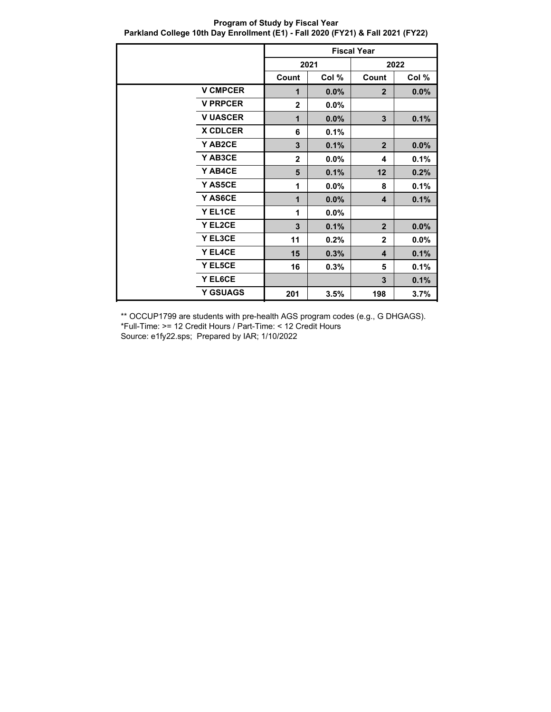**Program of Study by Fiscal Year Parkland College 10th Day Enrollment (E1) - Fall 2020 (FY21) & Fall 2021 (FY22)**

|                 | <b>Fiscal Year</b> |         |                |       |
|-----------------|--------------------|---------|----------------|-------|
|                 | 2021<br>2022       |         |                |       |
|                 | Count              | Col %   | Count          | Col % |
| <b>V CMPCER</b> | 1                  | 0.0%    | $\overline{2}$ | 0.0%  |
| <b>V PRPCER</b> | $\overline{2}$     | 0.0%    |                |       |
| <b>V UASCER</b> | 1                  | 0.0%    | 3              | 0.1%  |
| <b>X CDLCER</b> | 6                  | 0.1%    |                |       |
| Y AB2CE         | 3                  | 0.1%    | $\mathbf{2}$   | 0.0%  |
| Y AB3CE         | $\mathbf{2}$       | $0.0\%$ | 4              | 0.1%  |
| Y AB4CE         | 5                  | 0.1%    | 12             | 0.2%  |
| Y AS5CE         | 1                  | $0.0\%$ | 8              | 0.1%  |
| Y AS6CE         | 1                  | 0.0%    | 4              | 0.1%  |
| Y EL1CE         | 1                  | $0.0\%$ |                |       |
| Y EL2CE         | 3                  | 0.1%    | $\overline{2}$ | 0.0%  |
| Y EL3CE         | 11                 | 0.2%    | $\mathbf{2}$   | 0.0%  |
| Y EL4CE         | 15                 | 0.3%    | 4              | 0.1%  |
| Y EL5CE         | 16                 | 0.3%    | 5              | 0.1%  |
| Y EL6CE         |                    |         | 3              | 0.1%  |
| <b>Y GSUAGS</b> | 201                | 3.5%    | 198            | 3.7%  |

\*\* OCCUP1799 are students with pre-health AGS program codes (e.g., G DHGAGS). \*Full-Time: >= 12 Credit Hours / Part-Time: < 12 Credit Hours

Source: e1fy22.sps; Prepared by IAR; 1/10/2022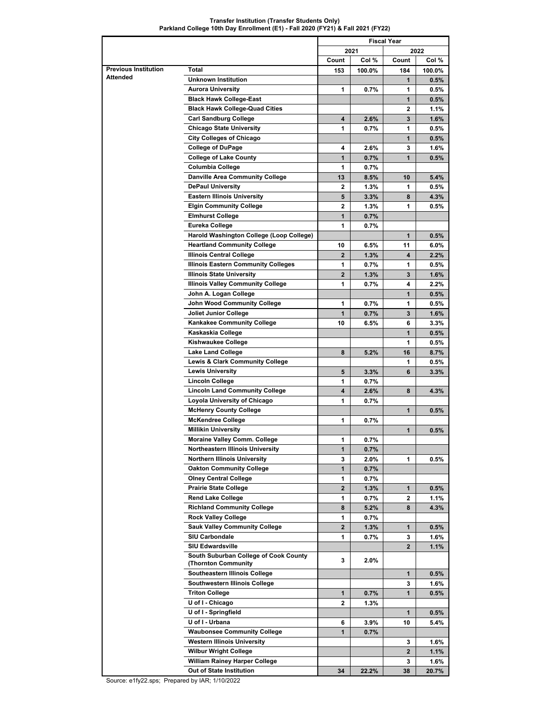|                             |                                            | <b>Fiscal Year</b>      |         |              |         |
|-----------------------------|--------------------------------------------|-------------------------|---------|--------------|---------|
|                             |                                            | 2021<br>2022            |         |              |         |
|                             |                                            | Count                   | Col %   | Count        | Col %   |
| <b>Previous Institution</b> | Total                                      | 153                     | 100.0%  | 184          | 100.0%  |
| <b>Attended</b>             | <b>Unknown Institution</b>                 |                         |         | 1            | 0.5%    |
|                             | <b>Aurora University</b>                   | 1                       | $0.7\%$ | 1            | $0.5\%$ |
|                             | <b>Black Hawk College-East</b>             |                         |         | 1            | 0.5%    |
|                             | <b>Black Hawk College-Quad Cities</b>      |                         |         | 2            | 1.1%    |
|                             | <b>Carl Sandburg College</b>               | 4                       | 2.6%    | 3            | 1.6%    |
|                             | <b>Chicago State University</b>            | 1                       | $0.7\%$ | 1            | $0.5\%$ |
|                             | <b>City Colleges of Chicago</b>            |                         |         | 1            | 0.5%    |
|                             | <b>College of DuPage</b>                   | 4                       | 2.6%    | 3            | $1.6\%$ |
|                             | <b>College of Lake County</b>              | $\mathbf{1}$            | 0.7%    | $\mathbf{1}$ | 0.5%    |
|                             | <b>Columbia College</b>                    | 1                       | 0.7%    |              |         |
|                             | <b>Danville Area Community College</b>     | 13                      | 8.5%    | 10           | 5.4%    |
|                             | <b>DePaul University</b>                   | $\mathbf{2}$            | 1.3%    | 1            | $0.5\%$ |
|                             | <b>Eastern Illinois University</b>         | 5                       | 3.3%    | 8            | 4.3%    |
|                             | <b>Elgin Community College</b>             | $\overline{\mathbf{2}}$ | 1.3%    | 1            | 0.5%    |
|                             | <b>Elmhurst College</b>                    | 1                       | 0.7%    |              |         |
|                             | Eureka College                             | 1                       |         |              |         |
|                             |                                            |                         | $0.7\%$ |              |         |
|                             | Harold Washington College (Loop College)   |                         |         | $\mathbf{1}$ | 0.5%    |
|                             | <b>Heartland Community College</b>         | 10                      | 6.5%    | 11           | 6.0%    |
|                             | <b>Illinois Central College</b>            | $\overline{2}$          | 1.3%    | 4            | 2.2%    |
|                             | <b>Illinois Eastern Community Colleges</b> | 1                       | 0.7%    | 1            | $0.5\%$ |
|                             | <b>Illinois State University</b>           | $\mathbf{2}$            | 1.3%    | 3            | 1.6%    |
|                             | <b>Illinois Valley Community College</b>   | 1                       | $0.7\%$ | 4            | $2.2\%$ |
|                             | John A. Logan College                      |                         |         | 1            | 0.5%    |
|                             | John Wood Community College                | 1                       | $0.7\%$ | 1            | 0.5%    |
|                             | Joliet Junior College                      | 1                       | 0.7%    | 3            | 1.6%    |
|                             | <b>Kankakee Community College</b>          | 10                      | 6.5%    | 6            | $3.3\%$ |
|                             | Kaskaskia College                          |                         |         | 1            | 0.5%    |
|                             | <b>Kishwaukee College</b>                  |                         |         | 1            | 0.5%    |
|                             | <b>Lake Land College</b>                   | 8                       | 5.2%    | 16           | 8.7%    |
|                             | <b>Lewis &amp; Clark Community College</b> |                         |         | 1            | $0.5\%$ |
|                             | <b>Lewis University</b>                    | 5                       | 3.3%    | 6            | 3.3%    |
|                             | <b>Lincoln College</b>                     | 1                       | $0.7\%$ |              |         |
|                             | <b>Lincoln Land Community College</b>      | 4                       | 2.6%    | 8            | 4.3%    |
|                             | Loyola University of Chicago               | 1                       | 0.7%    |              |         |
|                             | <b>McHenry County College</b>              |                         |         | 1            | 0.5%    |
|                             | <b>McKendree College</b>                   | 1                       | $0.7\%$ |              |         |
|                             | <b>Millikin University</b>                 |                         |         | $\mathbf{1}$ | 0.5%    |
|                             | Moraine Valley Comm. College               | 1                       | 0.7%    |              |         |
|                             | <b>Northeastern Illinois University</b>    | 1                       | 0.7%    |              |         |
|                             | <b>Northern Illinois University</b>        | 3                       | 2.0%    | 1            | 0.5%    |
|                             | <b>Oakton Community College</b>            | 1                       | 0.7%    |              |         |
|                             | <b>Olney Central College</b>               | 1                       | $0.7\%$ |              |         |
|                             | <b>Prairie State College</b>               | $\overline{\mathbf{2}}$ | 1.3%    | 1            | 0.5%    |
|                             | <b>Rend Lake College</b>                   | 1                       | $0.7\%$ | 2            | $1.1\%$ |
|                             | <b>Richland Community College</b>          | 8                       | 5.2%    | 8            | 4.3%    |
|                             | <b>Rock Valley College</b>                 | 1                       | $0.7\%$ |              |         |
|                             | <b>Sauk Valley Community College</b>       | $\overline{2}$          | 1.3%    | 1            | 0.5%    |
|                             | <b>SIU Carbondale</b>                      | 1                       | $0.7\%$ | 3            | 1.6%    |
|                             | <b>SIU Edwardsville</b>                    |                         |         | $\mathbf{2}$ | 1.1%    |
|                             | South Suburban College of Cook County      |                         |         |              |         |
|                             | (Thornton Community                        | 3                       | $2.0\%$ |              |         |
|                             | Southeastern Illinois College              |                         |         | 1            | 0.5%    |
|                             | Southwestern Illinois College              |                         |         | 3            | 1.6%    |
|                             | <b>Triton College</b>                      | 1                       | 0.7%    | 1            | $0.5\%$ |
|                             | U of I - Chicago                           | 2                       | 1.3%    |              |         |
|                             | U of I - Springfield                       |                         |         | 1            | 0.5%    |
|                             | U of I - Urbana                            | 6                       | 3.9%    | 10           | 5.4%    |
|                             | <b>Waubonsee Community College</b>         | $\mathbf{1}$            | 0.7%    |              |         |
|                             |                                            |                         |         |              |         |
|                             | <b>Western Illinois University</b>         |                         |         | 3            | 1.6%    |
|                             | <b>Wilbur Wright College</b>               |                         |         | $\mathbf{2}$ | $1.1\%$ |
|                             | William Rainey Harper College              |                         |         | 3            | 1.6%    |
|                             | Out of State Institution                   | 34                      | 22.2%   | 38           | 20.7%   |

### **Transfer Institution (Transfer Students Only) Parkland College 10th Day Enrollment (E1) - Fall 2020 (FY21) & Fall 2021 (FY22)**

Source: e1fy22.sps; Prepared by IAR; 1/10/2022